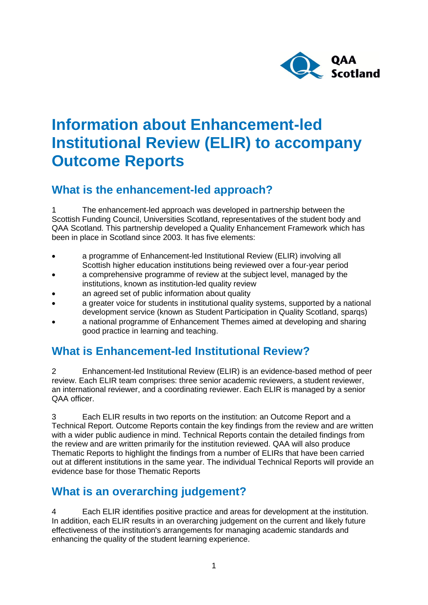

# **Information about Enhancement-led Institutional Review (ELIR) to accompany Outcome Reports**

### **What is the enhancement-led approach?**

1 The enhancement-led approach was developed in partnership between the Scottish Funding Council, Universities Scotland, representatives of the student body and QAA Scotland. This partnership developed a Quality Enhancement Framework which has been in place in Scotland since 2003. It has five elements:

- a programme of Enhancement-led Institutional Review (ELIR) involving all Scottish higher education institutions being reviewed over a four-year period
- a comprehensive programme of review at the subject level, managed by the institutions, known as institution-led quality review
- an agreed set of public information about quality
- a greater voice for students in institutional quality systems, supported by a national development service (known as Student Participation in Quality Scotland, sparqs)
- a national programme of Enhancement Themes aimed at developing and sharing good practice in learning and teaching.

### **What is Enhancement-led Institutional Review?**

2 Enhancement-led Institutional Review (ELIR) is an evidence-based method of peer review. Each ELIR team comprises: three senior academic reviewers, a student reviewer, an international reviewer, and a coordinating reviewer. Each ELIR is managed by a senior QAA officer.

3 Each ELIR results in two reports on the institution: an Outcome Report and a Technical Report. Outcome Reports contain the key findings from the review and are written with a wider public audience in mind. Technical Reports contain the detailed findings from the review and are written primarily for the institution reviewed. QAA will also produce Thematic Reports to highlight the findings from a number of ELIRs that have been carried out at different institutions in the same year. The individual Technical Reports will provide an evidence base for those Thematic Reports

## **What is an overarching judgement?**

Each ELIR identifies positive practice and areas for development at the institution. In addition, each ELIR results in an overarching judgement on the current and likely future effectiveness of the institution's arrangements for managing academic standards and enhancing the quality of the student learning experience.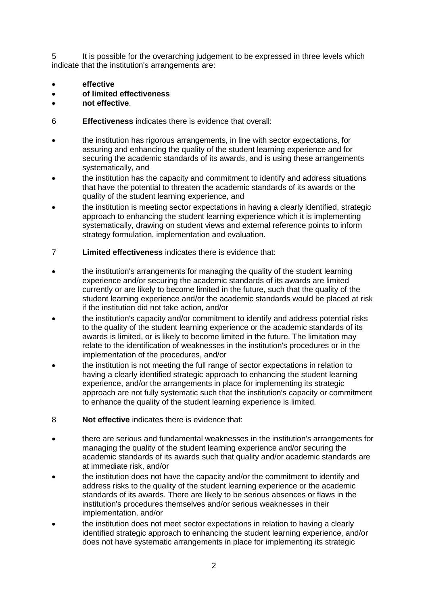5 It is possible for the overarching judgement to be expressed in three levels which indicate that the institution's arrangements are:

- **effective**
- **of limited effectiveness**
- **not effective**.
- 6 **Effectiveness** indicates there is evidence that overall:
- the institution has rigorous arrangements, in line with sector expectations, for assuring and enhancing the quality of the student learning experience and for securing the academic standards of its awards, and is using these arrangements systematically, and
- the institution has the capacity and commitment to identify and address situations that have the potential to threaten the academic standards of its awards or the quality of the student learning experience, and
- the institution is meeting sector expectations in having a clearly identified, strategic approach to enhancing the student learning experience which it is implementing systematically, drawing on student views and external reference points to inform strategy formulation, implementation and evaluation.
- 7 **Limited effectiveness** indicates there is evidence that:
- the institution's arrangements for managing the quality of the student learning experience and/or securing the academic standards of its awards are limited currently or are likely to become limited in the future, such that the quality of the student learning experience and/or the academic standards would be placed at risk if the institution did not take action, and/or
- the institution's capacity and/or commitment to identify and address potential risks to the quality of the student learning experience or the academic standards of its awards is limited, or is likely to become limited in the future. The limitation may relate to the identification of weaknesses in the institution's procedures or in the implementation of the procedures, and/or
- the institution is not meeting the full range of sector expectations in relation to having a clearly identified strategic approach to enhancing the student learning experience, and/or the arrangements in place for implementing its strategic approach are not fully systematic such that the institution's capacity or commitment to enhance the quality of the student learning experience is limited.
- 8 **Not effective** indicates there is evidence that:
- there are serious and fundamental weaknesses in the institution's arrangements for managing the quality of the student learning experience and/or securing the academic standards of its awards such that quality and/or academic standards are at immediate risk, and/or
- the institution does not have the capacity and/or the commitment to identify and address risks to the quality of the student learning experience or the academic standards of its awards. There are likely to be serious absences or flaws in the institution's procedures themselves and/or serious weaknesses in their implementation, and/or
- the institution does not meet sector expectations in relation to having a clearly identified strategic approach to enhancing the student learning experience, and/or does not have systematic arrangements in place for implementing its strategic